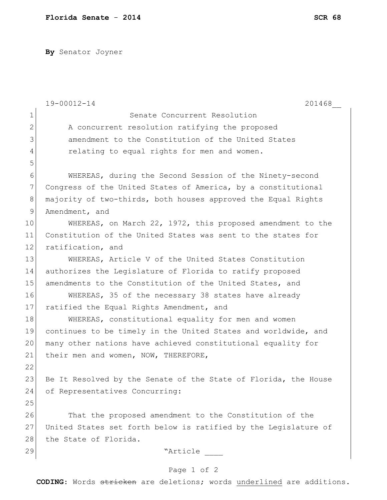**By** Senator Joyner

|                | 19-00012-14<br>201468                                           |
|----------------|-----------------------------------------------------------------|
| $\mathbf 1$    | Senate Concurrent Resolution                                    |
| $\mathbf{2}$   | A concurrent resolution ratifying the proposed                  |
| 3              | amendment to the Constitution of the United States              |
| $\overline{4}$ | relating to equal rights for men and women.                     |
| 5              |                                                                 |
| 6              | WHEREAS, during the Second Session of the Ninety-second         |
| 7              | Congress of the United States of America, by a constitutional   |
| 8              | majority of two-thirds, both houses approved the Equal Rights   |
| 9              | Amendment, and                                                  |
| 10             | WHEREAS, on March 22, 1972, this proposed amendment to the      |
| 11             | Constitution of the United States was sent to the states for    |
| 12             | ratification, and                                               |
| 13             | WHEREAS, Article V of the United States Constitution            |
| 14             | authorizes the Legislature of Florida to ratify proposed        |
| 15             | amendments to the Constitution of the United States, and        |
| 16             | WHEREAS, 35 of the necessary 38 states have already             |
| 17             | ratified the Equal Rights Amendment, and                        |
| 18             | WHEREAS, constitutional equality for men and women              |
| 19             | continues to be timely in the United States and worldwide, and  |
| 20             | many other nations have achieved constitutional equality for    |
| 21             | their men and women, NOW, THEREFORE,                            |
| 22             |                                                                 |
| 23             | Be It Resolved by the Senate of the State of Florida, the House |
| 24             | of Representatives Concurring:                                  |
| 25             |                                                                 |
| 26             | That the proposed amendment to the Constitution of the          |
| 27             | United States set forth below is ratified by the Legislature of |
| 28             | the State of Florida.                                           |
| 29             | "Article                                                        |
|                | Page 1 of 2                                                     |

**CODING**: Words stricken are deletions; words underlined are additions.